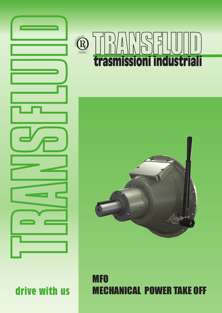





## MFO MECHANICAL POWER TAKE OFF

drive with us